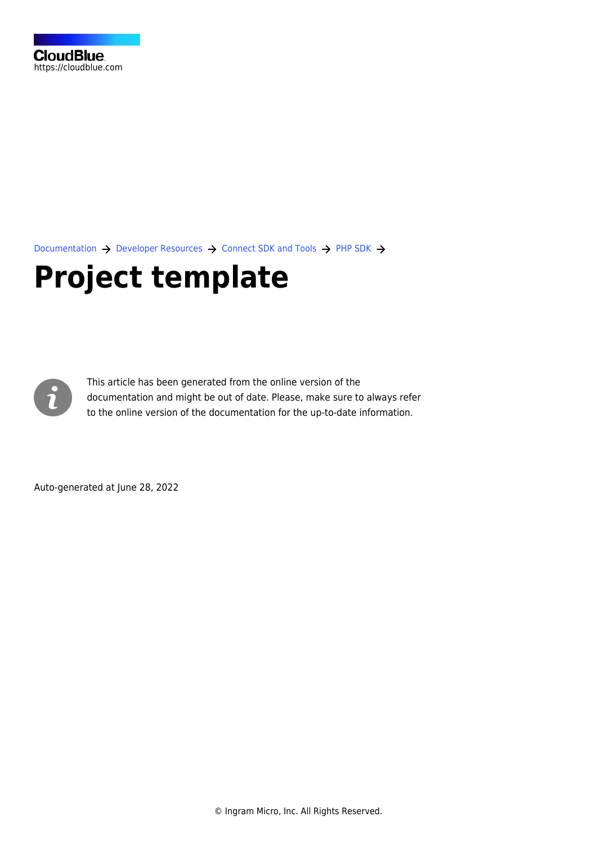[Documentation](https://connect.cloudblue.com/documentation)  $\rightarrow$  [Developer Resources](https://connect.cloudblue.com/community/developers/)  $\rightarrow$  [Connect SDK and Tools](https://connect.cloudblue.com/community/developers/sdk/)  $\rightarrow$  [PHP SDK](https://connect.cloudblue.com/community/developers/sdk/php-sdk/)  $\rightarrow$ 

# **[Project template](https://connect.cloudblue.com/community/developers/sdk/php-sdk/project-template/)**



This article has been generated from the online version of the documentation and might be out of date. Please, make sure to always refer to the online version of the documentation for the up-to-date information.

Auto-generated at June 28, 2022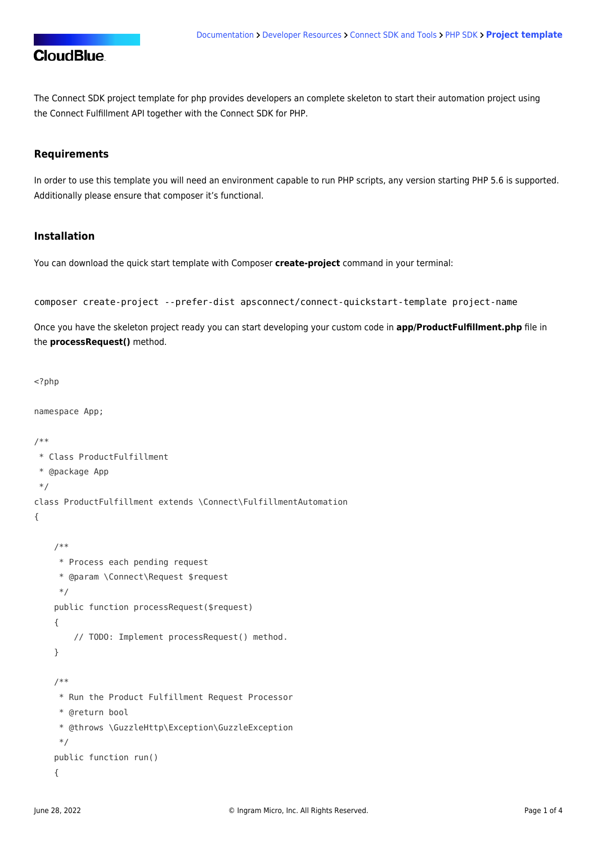The Connect SDK project template for php provides developers an complete skeleton to start their automation project using the Connect Fulfillment API together with the Connect SDK for PHP.

#### **Requirements**

In order to use this template you will need an environment capable to run PHP scripts, any version starting PHP 5.6 is supported. Additionally please ensure that [composer](https://getcomposer.org/) it's functional.

#### **Installation**

You can download the quick start template with Composer **create-project** command in your terminal:

```
composer create-project --prefer-dist apsconnect/connect-quickstart-template project-name
```
Once you have the skeleton project ready you can start developing your custom code in **app/ProductFulfillment.php** file in the **processRequest()** method.

```
<?php
```
namespace App;

```
/**
 * Class ProductFulfillment
 * @package App
 */
class ProductFulfillment extends \Connect\FulfillmentAutomation
{
     /**
      * Process each pending request
      * @param \Connect\Request $request
      */
     public function processRequest($request)
     {
         // TODO: Implement processRequest() method.
     }
     /**
      * Run the Product Fulfillment Request Processor
      * @return bool
      * @throws \GuzzleHttp\Exception\GuzzleException
      */
     public function run()
     {
```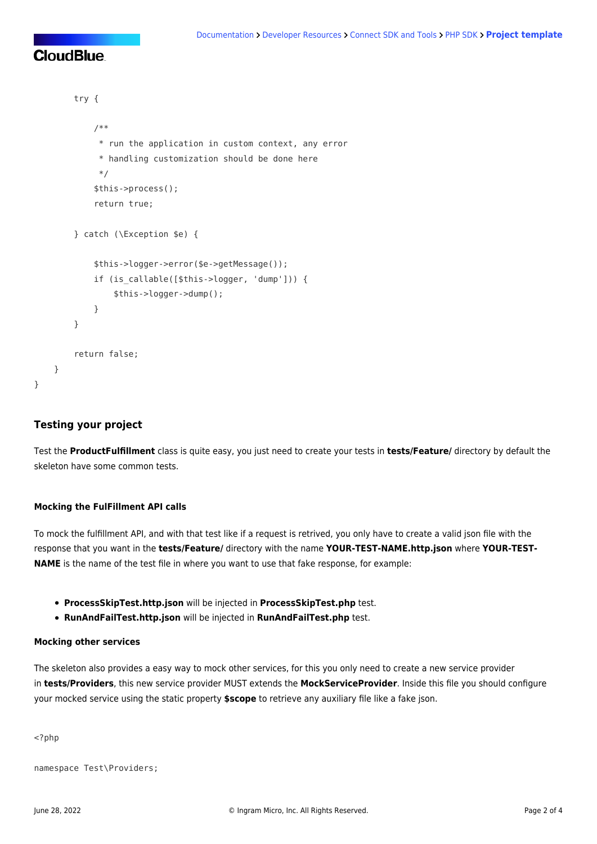```
 try {
             /**
              * run the application in custom context, any error
              * handling customization should be done here
              */
             $this->process();
             return true;
         } catch (\Exception $e) {
             $this->logger->error($e->getMessage());
            if (is callable([$this->logger, 'dump'])) {
                 $this->logger->dump();
 }
        }
         return false;
    }
```
#### **Testing your project**

}

Test the **ProductFulfillment** class is quite easy, you just need to create your tests in **tests/Feature/** directory by default the skeleton have some common tests.

#### **Mocking the FulFillment API calls**

To mock the fulfillment API, and with that test like if a request is retrived, you only have to create a valid json file with the response that you want in the **tests/Feature/** directory with the name **YOUR-TEST-NAME.http.json** where **YOUR-TEST-NAME** is the name of the test file in where you want to use that fake response, for example:

- **ProcessSkipTest.http.json** will be injected in **ProcessSkipTest.php** test.
- **RunAndFailTest.http.json** will be injected in **RunAndFailTest.php** test.

#### **Mocking other services**

The skeleton also provides a easy way to mock other services, for this you only need to create a new service provider in **tests/Providers**, this new service provider MUST extends the **MockServiceProvider**. Inside this file you should configure your mocked service using the static property **\$scope** to retrieve any auxiliary file like a fake json.

<?php

```
namespace Test\Providers;
```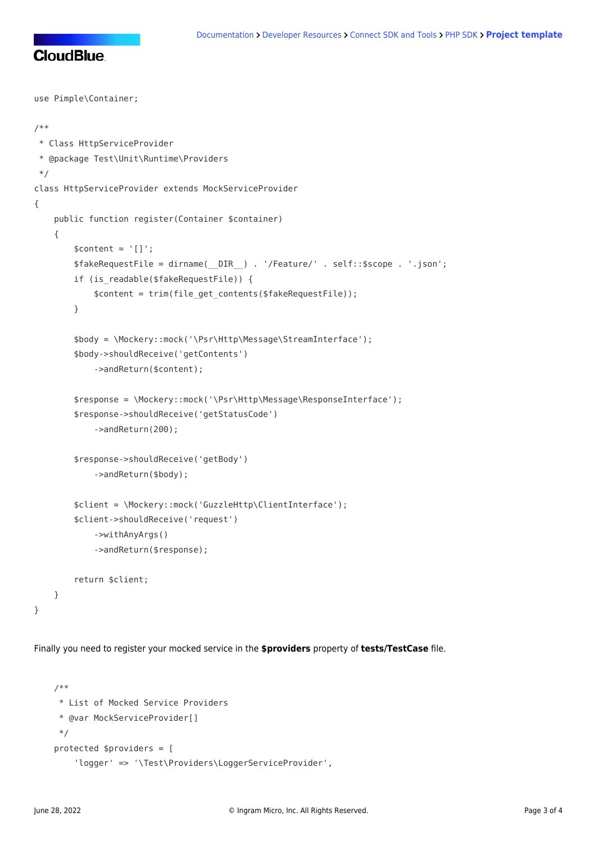```
use Pimple\Container;
/**
 * Class HttpServiceProvider
 * @package Test\Unit\Runtime\Providers
 */
class HttpServiceProvider extends MockServiceProvider
{
     public function register(Container $container)
     {
        $content = '[]': $fakeRequestFile = dirname(__DIR__) . '/Feature/' . self::$scope . '.json';
        if (is readable($fakeRequestFile)) {
             $content = trim(file_get_contents($fakeRequestFile));
         }
         $body = \Mockery::mock('\Psr\Http\Message\StreamInterface');
         $body->shouldReceive('getContents')
             ->andReturn($content);
         $response = \Mockery::mock('\Psr\Http\Message\ResponseInterface');
         $response->shouldReceive('getStatusCode')
             ->andReturn(200);
         $response->shouldReceive('getBody')
             ->andReturn($body);
         $client = \Mockery::mock('GuzzleHttp\ClientInterface');
         $client->shouldReceive('request')
             ->withAnyArgs()
             ->andReturn($response);
         return $client;
     }
}
```
Finally you need to register your mocked service in the **\$providers** property of **tests/TestCase** file.

```
 /**
 * List of Mocked Service Providers
 * @var MockServiceProvider[]
 */
 protected $providers = [
     'logger' => '\Test\Providers\LoggerServiceProvider',
```